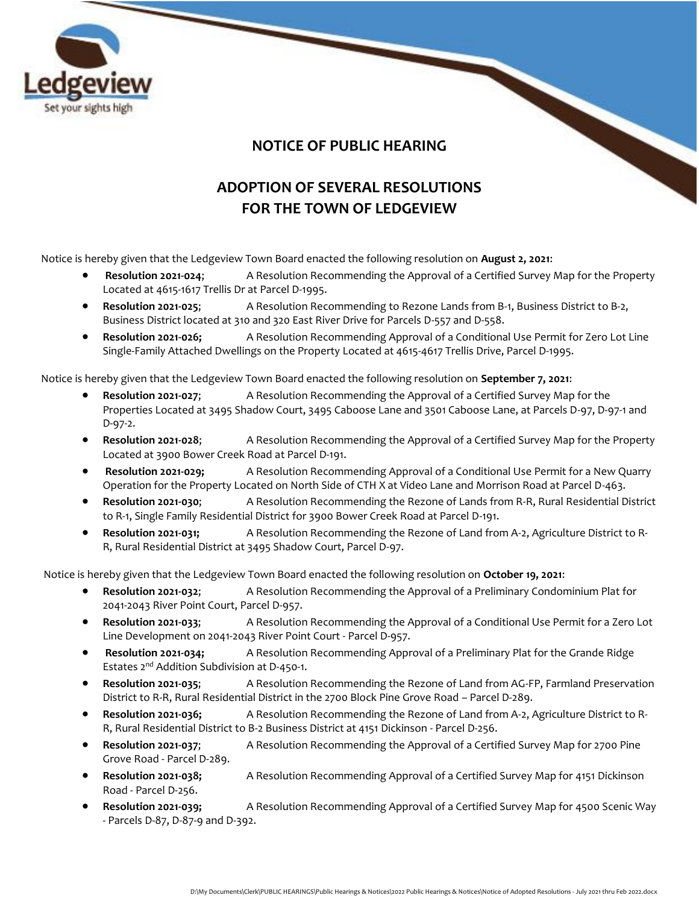

## **NOTICE OF PUBLIC HEARING**

## **ADOPTION OF SEVERAL RESOLUTIONS FOR THE TOWN OF LEDGEVIEW**

Notice is hereby given that the Ledgeview Town Board enacted the following resolution on **August 2, 2021**:

- **Resolution 2021-024**; A Resolution Recommending the Approval of a Certified Survey Map for the Property Located at 4615-1617 Trellis Dr at Parcel D-1995.
- **Resolution 2021-025**; A Resolution Recommending to Rezone Lands from B-1, Business District to B-2, Business District located at 310 and 320 East River Drive for Parcels D-557 and D-558.
- **Resolution 2021-026;** A Resolution Recommending Approval of a Conditional Use Permit for Zero Lot Line Single-Family Attached Dwellings on the Property Located at 4615-4617 Trellis Drive, Parcel D-1995.

Notice is hereby given that the Ledgeview Town Board enacted the following resolution on **September 7, 2021**:

- **Resolution 2021-027**; A Resolution Recommending the Approval of a Certified Survey Map for the Properties Located at 3495 Shadow Court, 3495 Caboose Lane and 3501 Caboose Lane, at Parcels D-97, D-97-1 and D-97-2.
- **Resolution 2021-028**; A Resolution Recommending the Approval of a Certified Survey Map for the Property Located at 3900 Bower Creek Road at Parcel D-191.
- **Resolution 2021-029;** A Resolution Recommending Approval of a Conditional Use Permit for a New Quarry Operation for the Property Located on North Side of CTH X at Video Lane and Morrison Road at Parcel D-463.
- **Resolution 2021-030**; A Resolution Recommending the Rezone of Lands from R-R, Rural Residential District to R-1, Single Family Residential District for 3900 Bower Creek Road at Parcel D-191.
- **Resolution 2021-031;** A Resolution Recommending the Rezone of Land from A-2, Agriculture District to R-R, Rural Residential District at 3495 Shadow Court, Parcel D-97.

Notice is hereby given that the Ledgeview Town Board enacted the following resolution on **October 19, 2021**:

- **Resolution 2021-032**; A Resolution Recommending the Approval of a Preliminary Condominium Plat for 2041-2043 River Point Court, Parcel D-957.
- **Resolution 2021-033**; A Resolution Recommending the Approval of a Conditional Use Permit for a Zero Lot Line Development on 2041-2043 River Point Court - Parcel D-957.
- **Resolution 2021-034;** A Resolution Recommending Approval of a Preliminary Plat for the Grande Ridge Estates 2nd Addition Subdivision at D-450-1.
- **Resolution 2021-035**; A Resolution Recommending the Rezone of Land from AG-FP, Farmland Preservation District to R-R, Rural Residential District in the 2700 Block Pine Grove Road – Parcel D-289.
- **Resolution 2021-036;** A Resolution Recommending the Rezone of Land from A-2, Agriculture District to R-R, Rural Residential District to B-2 Business District at 4151 Dickinson - Parcel D-256.
- **Resolution 2021-037**; A Resolution Recommending the Approval of a Certified Survey Map for 2700 Pine Grove Road - Parcel D-289.
- **Resolution 2021-038;** A Resolution Recommending Approval of a Certified Survey Map for 4151 Dickinson Road - Parcel D-256.
- **Resolution 2021-039;** A Resolution Recommending Approval of a Certified Survey Map for 4500 Scenic Way - Parcels D-87, D-87-9 and D-392.